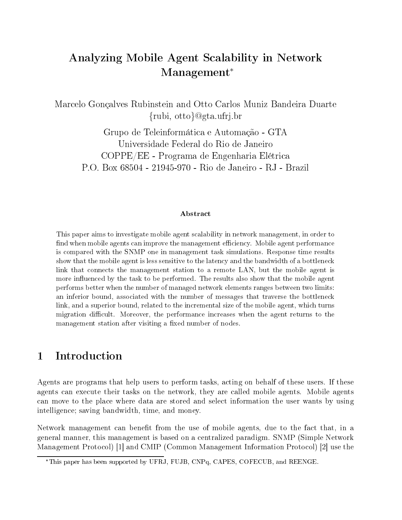## Analyzing Mobile Agent Scalability in Network Management

Marcelo Gonçalves Rubinstein and Otto Carlos Muniz Bandeira Duarte rubi-brubi-brubi-brubi-brubi-brubi-brubi-brubi-brubi-brubi-brubi-brubi-brubi-brubi-brubi-brubi-brubi-brubi-bru

Grupo de Teleinformática e Automação - GTA Universidade Federal do Rio de Janeiro COPPE EE Programa de Engenharia El trica P.O. Box 68504 - 21945-970 - Rio de Janeiro - RJ - Brazil

### Abstract

This paper aims to investigate mobile agent scalability in network management, in order to nd when mobile and mobile and improve the management can improve the management performance of the management is compared with the SNMP one in management task simulations Response time results show that the mobile agent is less sensitive to the latency and the bandwidth of a bottleneck link that connects the management station to a remote LAN, but the mobile agent is more influenced by the task to be performed. The results also show that the mobile agent performs better when the number of managed network elements ranges between two limits an inferior bound, associated with the number of messages that traverse the bottleneck link, and a superior bound, related to the incremental size of the mobile agent, which turns migration di-cult Moreover the performance increases when the agent returns to the management station after visiting a fixed number of nodes.

#### Introduction  $\mathbf{1}$

Agents are programs that help users to perform tasks, acting on behalf of these users. If these agents can execute their tasks on the network, they are called mobile agents. Mobile agents can move to the place where data are stored and select information the user wants by using intelligence-bandwidth time and money and money and money and money and money and money and money and money and

Network management can benefit from the use of mobile agents, due to the fact that, in a general manner, this management is based on a centralized paradigm. SNMP (Simple Network Management Protocol) [1] and CMIP (Common Management Information Protocol) [2] use the

<sup>\*</sup>This paper has been supported by UFRJ, FUJB, CNPq, CAPES, COFECUB, and REENGE.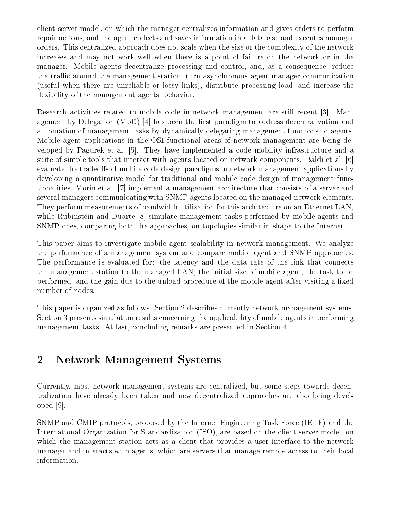client server model on which the manager centralizes information and gives orders to perform repair actions and the agent collects and saves information in a database and executes manager orders. This centralized approach does not scale when the size or the complexity of the network increases and may not work well when there is a point of failure on the network or in the manager. Mobile agents decentralize processing and control, and, as a consequence, reduce  $t$ he management station turn asymchronous agent station turn asymchronous agent  $t$  is a  $t$ (useful when there are unreliable or lossy links), distribute processing load, and increase the flexibility of the management agents' behavior.

Research activities related to mobile code in network management are still recent [3]. Management by Delegation (MbD) [4] has been the first paradigm to address decentralization and automation of management tasks by dynamically delegating management functions to agents Mobile agent applications in the OSI functional areas of network management are being de veloped by Pagurek et al. [5]. They have implemented a code mobility infrastructure and a suite of simple tools that interact with agents located on network components. Baldi et al. [6] evaluate the tradeoffs of mobile code design paradigms in network management applications by developing a quantitative model for traditional and mobile code design of management func tionalities. Morin et al. [7] implement a management architecture that consists of a server and several managers communicating with SNMP agents located on the managed network elements They perform measurements of bandwidth utilization for this architecture on an Ethernet LAN while Rubinstein and Duarte [8] simulate management tasks performed by mobile agents and SNMP ones, comparing both the approaches, on topologies similar in shape to the Internet.

This paper aims to investigate mobile agent scalability in network management. We analyze the performance of a management system and compare mobile agent and SNMP approaches The performance is evaluated for: the latency and the data rate of the link that connects the management station to the managed LAN, the initial size of mobile agent, the task to be performed, and the gain due to the unload procedure of the mobile agent after visiting a fixed number of nodes

This paper is organized as follows. Section 2 describes currently network management systems. Section 3 presents simulation results concerning the applicability of mobile agents in performing management tasks. At last, concluding remarks are presented in Section 4.

# Network Management Systems

Currently, most network management systems are centralized, but some steps towards decentralization have already been taken and new decentralized approaches are also being devel oped [9].

SNMP and CMIP protocols, proposed by the Internet Engineering Task Force (IETF) and the International Organization for Standardization ISO are based on the client server model on which the management station acts as a client that provides a user interface to the network manager and interacts with agents, which are servers that manage remote access to their local information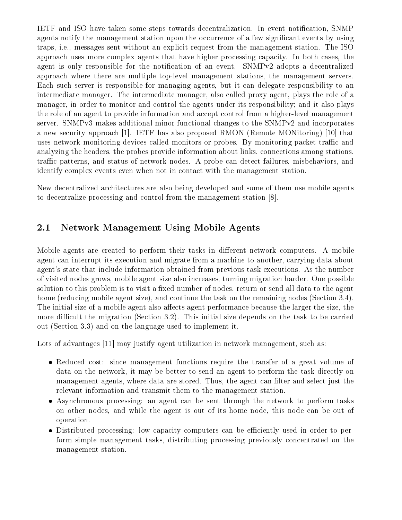IETF and ISO have taken some steps towards decentralization. In event notification, SNMP agents notify the management station upon the occurrence of a few signicant events by using traps, i.e., messages sent without an explicit request from the management station. The ISO approach uses more complex agents that have higher processing capacity. In both cases, the agent is only responsible for the notification of an event. SNMPv2 adopts a decentralized approach where there are multiple top level management stations the management servers Each such server is responsible for managing agents, but it can delegate responsibility to an intermediate manager. The intermediate manager, also called proxy agent, plays the role of a manager in order to monitor and control the agents under its responsibility-the and it also plays the role of an agent to provide information and accept control from a higher level management server. SNMPv3 makes additional minor functional changes to the SNMPv2 and incorporates a new security approach [1]. IETF has also proposed RMON (Remote MONitoring) [10] that uses network monitoring devices called monitors or probes. By monitoring packet traffic and analyzing the headers, the probes provide information about links, connections among stations, traffic patterns, and status of network nodes. A probe can detect failures, misbehaviors, and identify complex events even when not in contact with the management station

New decentralized architectures are also being developed and some of them use mobile agents to decentralize processing and control from the management station

#### $2.1\,$ Network Management Using Mobile Agents

Mobile agents are created to perform their tasks in different network computers. A mobile agent can interrupt its execution and migrate from a machine to another, carrying data about agent
s state that include information obtained from previous task executions As the number of visited nodes grows, mobile agent size also increases, turning migration harder. One possible solution to this problem is to visit a fixed number of nodes, return or send all data to the agent home (reducing mobile agent size), and continue the task on the remaining nodes (Section 3.4). The initial size of a mobile agent also affects agent performance because the larger the size, the more difficult the migration (Section 3.2). This initial size depends on the task to be carried out (Section 3.3) and on the language used to implement it.

Lots of advantages  $\lceil 1 \rceil$  may justify agent utilization in network management, such as:

- $R$ educed cost since management functions require the transfer of a great volume of a great volume of a great volume of a great volume of a great volume of a great volume of a great volume of a great volume of a great vol data on the network, it may be better to send an agent to perform the task directly on management agents, where data are stored. Thus, the agent can filter and select just the relevant information and transmit them to the management station.
- Asynchronous processing an agent can be sent through the network to perform tasks on other nodes and while the agent is out of its home node this node can be out of operation
- Distributed processing low capacity computers can be eciently used in order to per form simple management tasks, distributing processing previously concentrated on the management station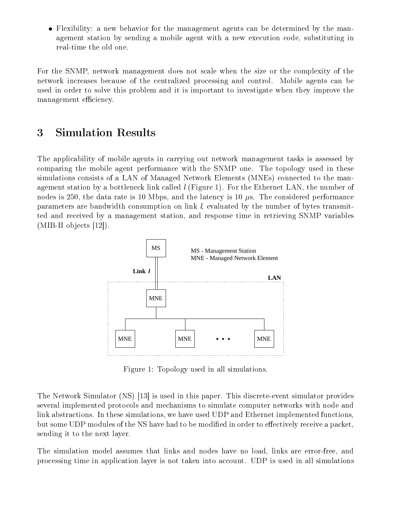Flexibility a new behavior for the management agents can be determined by the man agement station by sending a mobile agent with a new execution code, substituting in

For the SNMP, network management does not scale when the size or the complexity of the network increases because of the centralized processing and control. Mobile agents can be used in order to solve this problem and it is important to investigate when they improve the management efficiency.

#### 3 Simulation Results

The applicability of mobile agents in carrying out network management tasks is assessed by comparing the mobile agent performance with the SNMP one. The topology used in these simulations consists of a LAN of Managed Network Elements (MNEs) connected to the management station by a bottleneck link called  $l$  (Figure 1). For the Ethernet LAN, the number of nodes is 250, the data rate is 10 Mbps, and the latency is 10  $\mu$ s. The considered performance parameters are bandwidth consumption on link  $l$ , evaluated by the number of bytes transmitted and received by a management station and response time in retrieving SNMP variables  $\blacksquare$ 



Figure 1: Topology used in all simulations.

The Network Simulator NS is used in this paper This discrete event simulator provides several implemented protocols and mechanisms to simulate computer networks with node and link abstractions. In these simulations, we have used UDP and Ethernet implemented functions, but some UDP modules of the NS have had to be modified in order to effectively receive a packet, sending it to the next layer

The simulation model assumes that links and nodes have no load links are error free and processing time in application layer is not taken into account UDP is used in all simulations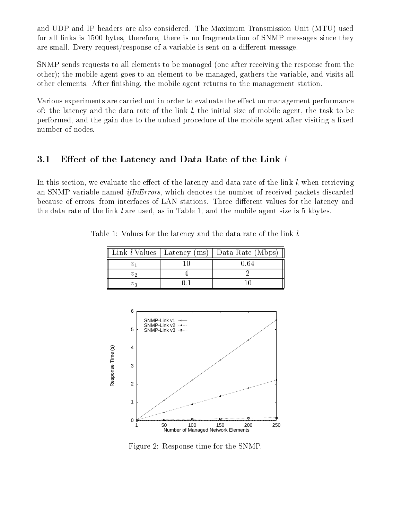and UDP and IP headers are also considered. The Maximum Transmission Unit (MTU) used for all links is  $1500$  bytes, therefore, there is no fragmentation of SNMP messages since they are small. Every request/response of a variable is sent on a different message.

SNMP sends requests to all elements to be managed (one after receiving the response from the other- the mobile agent goes to an element to be managed gathers the variable and visits all other elements. After finishing, the mobile agent returns to the management station.

Various experiments are carried out in order to evaluate the effect on management performance of: the latency and the data rate of the link  $l$ , the initial size of mobile agent, the task to be performed, and the gain due to the unload procedure of the mobile agent after visiting a fixed number of nodes

#### $3.1$ Effect of the Latency and Data Rate of the Link  $l$

In this section, we evaluate the effect of the latency and data rate of the link  $l$ , when retrieving an SNMP variable named *if In Errors*, which denotes the number of received packets discarded because of errors, from interfaces of LAN stations. Three different values for the latency and the data rate of the link l are used, as in Table 1, and the mobile agent size is  $5 \text{ kbytes.}$ 

|       | Link l Values   Latency (ms)   Data Rate (Mbps) |
|-------|-------------------------------------------------|
|       |                                                 |
|       |                                                 |
| $v_2$ |                                                 |

Table 1: Values for the latency and the data rate of the link l.



Figure 2: Response time for the SNMP.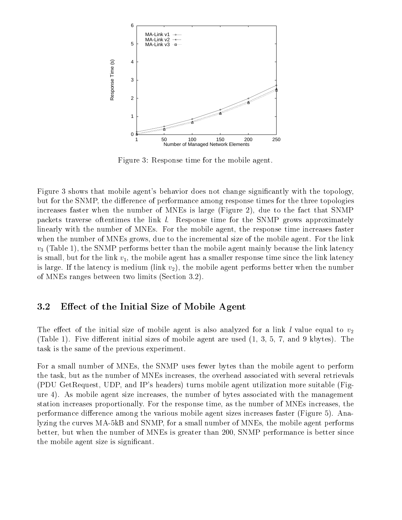

Figure 3: Response time for the mobile agent.

Figure 3 shows that mobile agent's behavior does not change significantly with the topology, but for the SNMP, the difference of performance among response times for the three topologies increases faster when the number of MNEs is large (Figure 2), due to the fact that  $S\text{NMP}$ packets traverse oftentimes the link  $l$ . Response time for the SNMP grows approximately linearly with the number of MNEs. For the mobile agent, the response time increases faster when the number of MNEs grows, due to the incremental size of the mobile agent. For the link  $\mathcal{O}$  . The SNMP performs better than the mobile agent mainly because than the link latency is a set of link latency of  $\mathcal{O}$ is small, but for the link  $v_1$ , the mobile agent has a smaller response time since the link latency is large. If the latency is medium (link  $v_2$ ), the mobile agent performs better when the number of MNEs ranges between two limits (Section 3.2).

### 3.2 Effect of the Initial Size of Mobile Agent

The effect of the initial size of mobile agent is also analyzed for a link l value equal to  $v_2$ (Table 1). Five different initial sizes of mobile agent are used  $(1, 3, 5, 7, 5)$  and 9 kbytes). The task is the same of the previous experiment

For a small number of MNEs, the SNMP uses fewer bytes than the mobile agent to perform the task, but as the number of MNEs increases, the overhead associated with several retrievals (PDU GetRequest, UDP, and IP's headers) turns mobile agent utilization more suitable (Figure 4). As mobile agent size increases, the number of bytes associated with the management station increases proportionally. For the response time, as the number of MNEs increases, the performance difference among the various mobile agent sizes increases faster (Figure 5). Analyzing the curves MA kB and SNMP for a small number of MNEs the mobile agent performs better, but when the number of MNEs is greater than 200, SNMP performance is better since the mobile agent size is significant.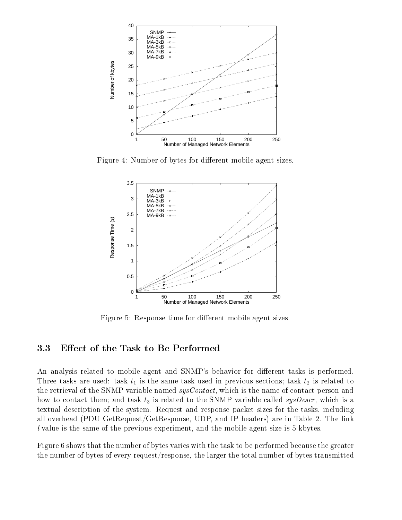

Figure 4: Number of bytes for different mobile agent sizes.



Figure 5: Response time for different mobile agent sizes.

### 3.3 Effect of the Task to Be Performed

An analysis related to mobile agent and SNMP's behavior for different tasks is performed. The same tasks are used tasks are used in previous sections-weighted in previous sections-weighted to  $\mu$ the retrieval of the SNMP variable named sysContact, which is the name of contact person and how to contact the stag them called to contact to the SNMP variable called system is  $\rho$  is also to the SNMP variable called sys textual description of the system. Request and response packet sizes for the tasks, including all overhead (PDU GetRequest/GetResponse, UDP, and IP headers) are in Table 2. The link l value is the same of the previous experiment and the mobile agent size is kbytes

Figure 6 shows that the number of bytes varies with the task to be performed because the greater the number of bytes of every request/response, the larger the total number of bytes transmitted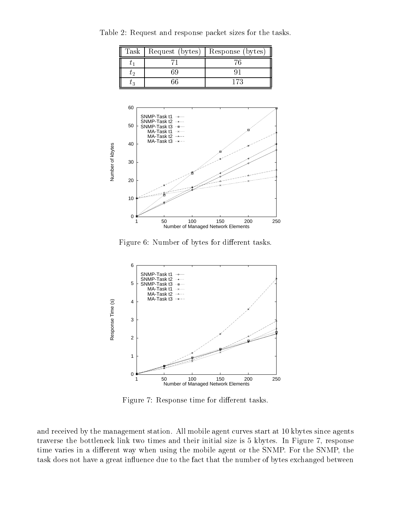| Task   Request (bytes) | Response (bytes) |
|------------------------|------------------|
|                        |                  |
|                        |                  |
|                        |                  |

Table 2: Request and response packet sizes for the tasks.



Figure 6: Number of bytes for different tasks.



Figure 7: Response time for different tasks.

and received by the management station. All mobile agent curves start at 10 kbytes since agents traverse the bottleneck link two times and their initial size is 5 kbytes. In Figure 7, response time varies in a different way when using the mobile agent or the SNMP. For the SNMP, the task does not have a great influence due to the fact that the number of bytes exchanged between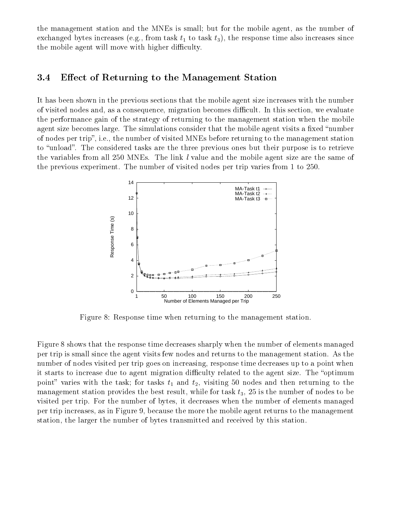the management station and the MNES is small-the mobile and the mobile agent as the mobile as the number of exchanged by the response time also increases the response time also increases since the response time also increases since the response time also increases the response time also increases the response time also increase the mobile agent will move with higher difficulty.

#### 3.4 Effect of Returning to the Management Station

It has been shown in the previous sections that the mobile agent size increases with the number of visited nodes and, as a consequence, migration becomes difficult. In this section, we evaluate the performance gain of the strategy of returning to the management station when the mobile agent size becomes large. The simulations consider that the mobile agent visits a fixed "number" of nodes per trip", i.e., the number of visited MNEs before returning to the management station to "unload". The considered tasks are the three previous ones but their purpose is to retrieve the variables from all  $250$  MNEs. The link l value and the mobile agent size are the same of the previous experiment. The number of visited nodes per trip varies from  $1$  to  $250$ .



Figure 8: Response time when returning to the management station.

Figure 8 shows that the response time decreases sharply when the number of elements managed per trip is small since the agent visits few nodes and returns to the management station. As the number of nodes visited per trip goes on increasing, response time decreases up to a point when it starts to increase due to agent migration difficulty related to the agent size. The "optimum point varies with the task-then the tasker of with  $\{a\}$  visiting to the nodes and the then return  $\bigcap$  or the  $\bigcap$ management station provides the best result while for the best result  $\eta$  , while for the number of nodes to be visited per trip. For the number of bytes, it decreases when the number of elements managed per trip increases, as in Figure 9, because the more the mobile agent returns to the management station, the larger the number of bytes transmitted and received by this station.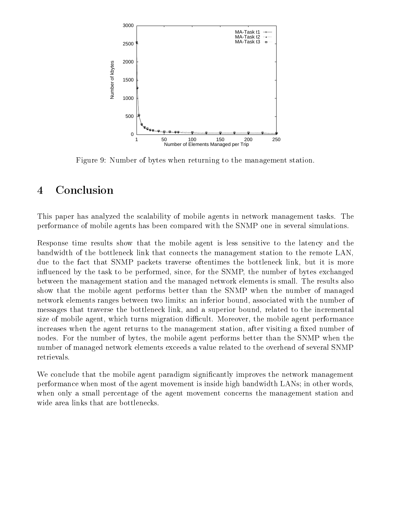

Figure 9: Number of bytes when returning to the management station.

## Conclusion

This paper has analyzed the scalability of mobile agents in network management tasks. The performance of mobile agents has been compared with the SNMP one in several simulations

Response time results show that the mobile agent is less sensitive to the latency and the bandwidth of the bottleneck link that connects the management station to the remote LAN due to the fact that SNMP packets traverse oftentimes the bottleneck link, but it is more influenced by the task to be performed, since, for the SNMP, the number of bytes exchanged between the management station and the managed network elements is small The results also show that the mobile agent performs better than the SNMP when the number of managed network elements ranges between two limits: an inferior bound, associated with the number of messages that traverse the bottleneck link, and a superior bound, related to the incremental size of mobile agent, which turns migration difficult. Moreover, the mobile agent performance increases when the agent returns to the management station, after visiting a fixed number of nodes. For the number of bytes, the mobile agent performs better than the SNMP when the number of managed network elements exceeds a value related to the overhead of several SNMP retrievals

We conclude that the mobile agent paradigm significantly improves the network management performance when most of the agent movement is inside high bandwidth LANs- in other words when only a small percentage of the agent movement concerns the management station and wide area links that are bottlenecks